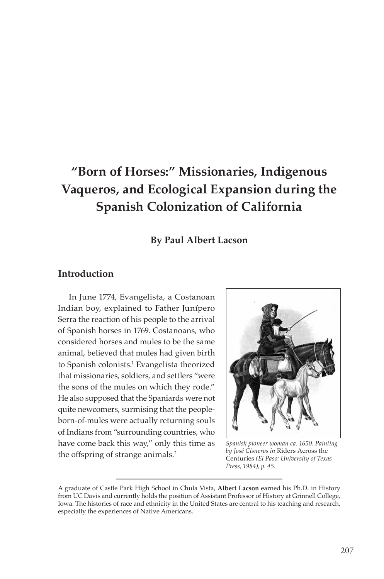# **"Born of Horses:" Missionaries, Indigenous Vaqueros, and Ecological Expansion during the Spanish Colonization of California**

## **By Paul Albert Lacson**

# **Introduction**

In June 1774, Evangelista, a Costanoan Indian boy, explained to Father Junípero Serra the reaction of his people to the arrival of Spanish horses in 1769. Costanoans, who considered horses and mules to be the same animal, believed that mules had given birth to Spanish colonists.1 Evangelista theorized that missionaries, soldiers, and settlers "were the sons of the mules on which they rode." He also supposed that the Spaniards were not quite newcomers, surmising that the peopleborn-of-mules were actually returning souls of Indians from "surrounding countries, who have come back this way," only this time as the offspring of strange animals.<sup>2</sup>



*Spanish pioneer woman ca. 1650. Painting by José Cisneros in* Riders Across the Centuries *(El Paso: University of Texas Press, 1984), p. 45.*

A graduate of Castle Park High School in Chula Vista, **Albert Lacson** earned his Ph.D. in History from UC Davis and currently holds the position of Assistant Professor of History at Grinnell College, Iowa. The histories of race and ethnicity in the United States are central to his teaching and research, especially the experiences of Native Americans.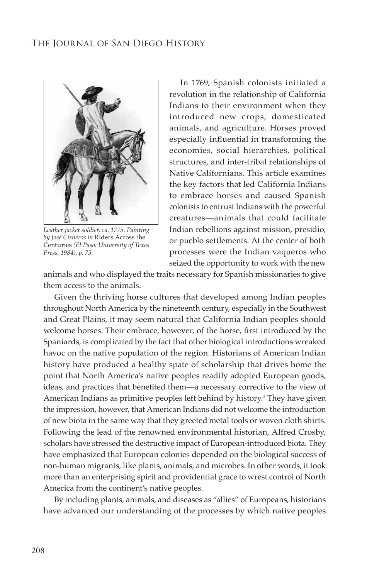

*Leather jacket soldier, ca. 1775. Painting by José Cisneros in* Riders Across the Centuries *(El Paso: University of Texas Press, 1984), p. 75.*

In 1769, Spanish colonists initiated a revolution in the relationship of California Indians to their environment when they introduced new crops, domesticated animals, and agriculture. Horses proved especially influential in transforming the economies, social hierarchies, political structures, and inter-tribal relationships of Native Californians. This article examines the key factors that led California Indians to embrace horses and caused Spanish colonists to entrust Indians with the powerful creatures—animals that could facilitate Indian rebellions against mission, presidio, or pueblo settlements. At the center of both processes were the Indian vaqueros who seized the opportunity to work with the new

animals and who displayed the traits necessary for Spanish missionaries to give them access to the animals.

Given the thriving horse cultures that developed among Indian peoples throughout North America by the nineteenth century, especially in the Southwest and Great Plains, it may seem natural that California Indian peoples should welcome horses. Their embrace, however, of the horse, first introduced by the Spaniards, is complicated by the fact that other biological introductions wreaked havoc on the native population of the region. Historians of American Indian history have produced a healthy spate of scholarship that drives home the point that North America's native peoples readily adopted European goods, ideas, and practices that benefited them—a necessary corrective to the view of American Indians as primitive peoples left behind by history.<sup>3</sup> They have given the impression, however, that American Indians did not welcome the introduction of new biota in the same way that they greeted metal tools or woven cloth shirts. Following the lead of the renowned environmental historian, Alfred Crosby, scholars have stressed the destructive impact of European-introduced biota. They have emphasized that European colonies depended on the biological success of non-human migrants, like plants, animals, and microbes. In other words, it took more than an enterprising spirit and providential grace to wrest control of North America from the continent's native peoples.

By including plants, animals, and diseases as "allies" of Europeans, historians have advanced our understanding of the processes by which native peoples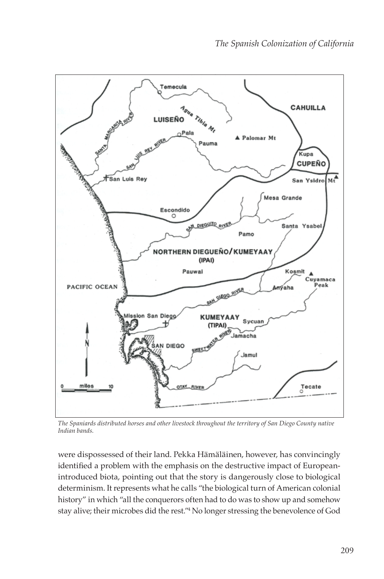

*The Spaniards distributed horses and other livestock throughout the territory of San Diego County native Indian bands.*

were dispossessed of their land. Pekka Hämäläinen, however, has convincingly identified a problem with the emphasis on the destructive impact of Europeanintroduced biota, pointing out that the story is dangerously close to biological determinism. It represents what he calls "the biological turn of American colonial history" in which "all the conquerors often had to do was to show up and somehow stay alive; their microbes did the rest."4 No longer stressing the benevolence of God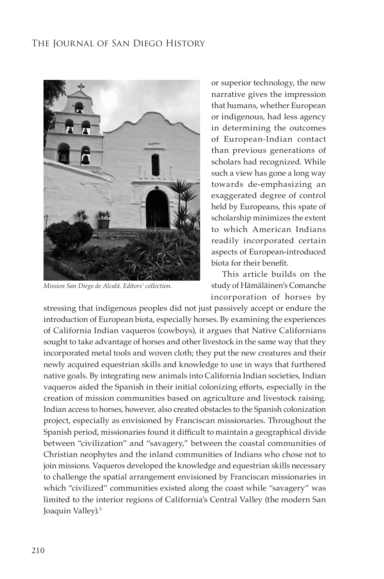

*Mission San Diego de Alcalá. Editors' collection.*

or superior technology, the new narrative gives the impression that humans, whether European or indigenous, had less agency in determining the outcomes of European-Indian contact than previous generations of scholars had recognized. While such a view has gone a long way towards de-emphasizing an exaggerated degree of control held by Europeans, this spate of scholarship minimizes the extent to which American Indians readily incorporated certain aspects of European-introduced biota for their benefit.

This article builds on the study of Hämäläinen's Comanche incorporation of horses by

stressing that indigenous peoples did not just passively accept or endure the introduction of European biota, especially horses. By examining the experiences of California Indian vaqueros (cowboys), it argues that Native Californians sought to take advantage of horses and other livestock in the same way that they incorporated metal tools and woven cloth; they put the new creatures and their newly acquired equestrian skills and knowledge to use in ways that furthered native goals. By integrating new animals into California Indian societies, Indian vaqueros aided the Spanish in their initial colonizing efforts, especially in the creation of mission communities based on agriculture and livestock raising. Indian access to horses, however, also created obstacles to the Spanish colonization project, especially as envisioned by Franciscan missionaries. Throughout the Spanish period, missionaries found it difficult to maintain a geographical divide between "civilization" and "savagery," between the coastal communities of Christian neophytes and the inland communities of Indians who chose not to join missions. Vaqueros developed the knowledge and equestrian skills necessary to challenge the spatial arrangement envisioned by Franciscan missionaries in which "civilized" communities existed along the coast while "savagery" was limited to the interior regions of California's Central Valley (the modern San Joaquin Valley).<sup>5</sup>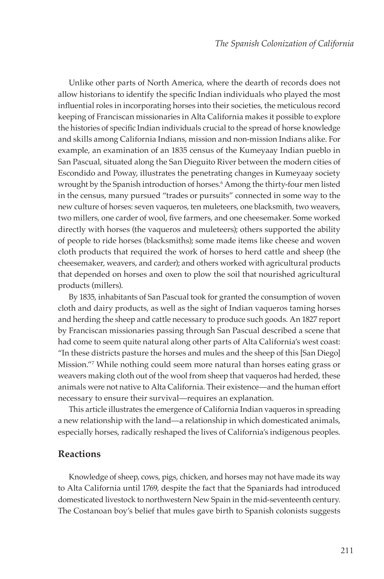Unlike other parts of North America, where the dearth of records does not allow historians to identify the specific Indian individuals who played the most influential roles in incorporating horses into their societies, the meticulous record keeping of Franciscan missionaries in Alta California makes it possible to explore the histories of specific Indian individuals crucial to the spread of horse knowledge and skills among California Indians, mission and non-mission Indians alike. For example, an examination of an 1835 census of the Kumeyaay Indian pueblo in San Pascual, situated along the San Dieguito River between the modern cities of Escondido and Poway, illustrates the penetrating changes in Kumeyaay society wrought by the Spanish introduction of horses.6 Among the thirty-four men listed in the census, many pursued "trades or pursuits" connected in some way to the new culture of horses: seven vaqueros, ten muleteers, one blacksmith, two weavers, two millers, one carder of wool, five farmers, and one cheesemaker. Some worked directly with horses (the vaqueros and muleteers); others supported the ability of people to ride horses (blacksmiths); some made items like cheese and woven cloth products that required the work of horses to herd cattle and sheep (the cheesemaker, weavers, and carder); and others worked with agricultural products that depended on horses and oxen to plow the soil that nourished agricultural products (millers).

By 1835, inhabitants of San Pascual took for granted the consumption of woven cloth and dairy products, as well as the sight of Indian vaqueros taming horses and herding the sheep and cattle necessary to produce such goods. An 1827 report by Franciscan missionaries passing through San Pascual described a scene that had come to seem quite natural along other parts of Alta California's west coast: "In these districts pasture the horses and mules and the sheep of this [San Diego] Mission."7 While nothing could seem more natural than horses eating grass or weavers making cloth out of the wool from sheep that vaqueros had herded, these animals were not native to Alta California. Their existence—and the human effort necessary to ensure their survival—requires an explanation.

This article illustrates the emergence of California Indian vaqueros in spreading a new relationship with the land—a relationship in which domesticated animals, especially horses, radically reshaped the lives of California's indigenous peoples.

#### **Reactions**

Knowledge of sheep, cows, pigs, chicken, and horses may not have made its way to Alta California until 1769, despite the fact that the Spaniards had introduced domesticated livestock to northwestern New Spain in the mid-seventeenth century. The Costanoan boy's belief that mules gave birth to Spanish colonists suggests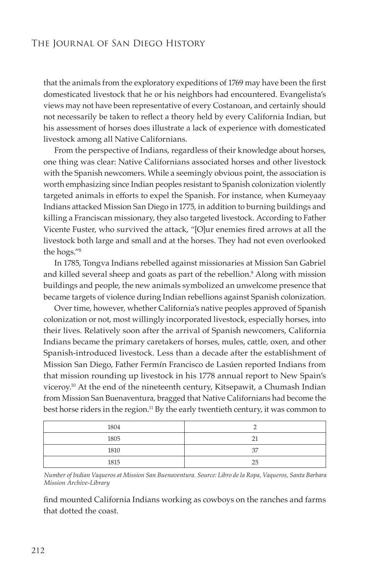that the animals from the exploratory expeditions of 1769 may have been the first domesticated livestock that he or his neighbors had encountered. Evangelista's views may not have been representative of every Costanoan, and certainly should not necessarily be taken to reflect a theory held by every California Indian, but his assessment of horses does illustrate a lack of experience with domesticated livestock among all Native Californians.

From the perspective of Indians, regardless of their knowledge about horses, one thing was clear: Native Californians associated horses and other livestock with the Spanish newcomers. While a seemingly obvious point, the association is worth emphasizing since Indian peoples resistant to Spanish colonization violently targeted animals in efforts to expel the Spanish. For instance, when Kumeyaay Indians attacked Mission San Diego in 1775, in addition to burning buildings and killing a Franciscan missionary, they also targeted livestock. According to Father Vicente Fuster, who survived the attack, "[O]ur enemies fired arrows at all the livestock both large and small and at the horses. They had not even overlooked the hogs."8

In 1785, Tongva Indians rebelled against missionaries at Mission San Gabriel and killed several sheep and goats as part of the rebellion.<sup>9</sup> Along with mission buildings and people, the new animals symbolized an unwelcome presence that became targets of violence during Indian rebellions against Spanish colonization.

Over time, however, whether California's native peoples approved of Spanish colonization or not, most willingly incorporated livestock, especially horses, into their lives. Relatively soon after the arrival of Spanish newcomers, California Indians became the primary caretakers of horses, mules, cattle, oxen, and other Spanish-introduced livestock. Less than a decade after the establishment of Mission San Diego, Father Fermín Francisco de Lasúen reported Indians from that mission rounding up livestock in his 1778 annual report to New Spain's viceroy.<sup>10</sup> At the end of the nineteenth century, Kitsepawit, a Chumash Indian from Mission San Buenaventura, bragged that Native Californians had become the best horse riders in the region.<sup>11</sup> By the early twentieth century, it was common to

| 1804 |    |
|------|----|
| 1805 |    |
| 1810 | 37 |
| 1815 | つら |

*Number of Indian Vaqueros at Mission San Buenaventura. Source: Libro de la Ropa, Vaqueros, Santa Barbara Mission Archive-Library*

find mounted California Indians working as cowboys on the ranches and farms that dotted the coast.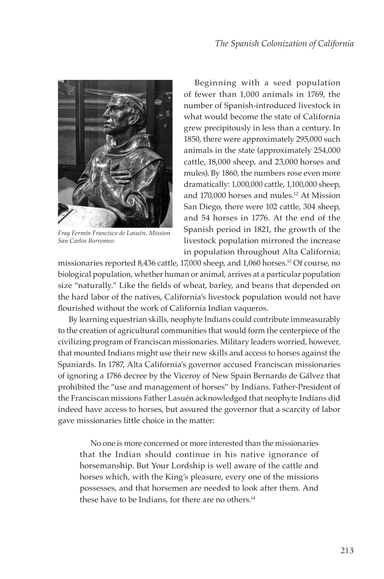

*Fray Fermín Francisco de Lasuén, Mission San Carlos Borromeo.*

Beginning with a seed population of fewer than 1,000 animals in 1769, the number of Spanish-introduced livestock in what would become the state of California grew precipitously in less than a century. In 1850, there were approximately 295,000 such animals in the state (approximately 254,000 cattle, 18,000 sheep, and 23,000 horses and mules). By 1860, the numbers rose even more dramatically: 1,000,000 cattle, 1,100,000 sheep, and 170,000 horses and mules.12 At Mission San Diego, there were 102 cattle, 304 sheep, and 54 horses in 1776. At the end of the Spanish period in 1821, the growth of the livestock population mirrored the increase in population throughout Alta California;

missionaries reported 8,436 cattle, 17,000 sheep, and 1,060 horses.13 Of course, no biological population, whether human or animal, arrives at a particular population size "naturally." Like the fields of wheat, barley, and beans that depended on the hard labor of the natives, California's livestock population would not have flourished without the work of California Indian vaqueros.

By learning equestrian skills, neophyte Indians could contribute immeasurably to the creation of agricultural communities that would form the centerpiece of the civilizing program of Franciscan missionaries. Military leaders worried, however, that mounted Indians might use their new skills and access to horses against the Spaniards. In 1787, Alta California's governor accused Franciscan missionaries of ignoring a 1786 decree by the Viceroy of New Spain Bernardo de Gálvez that prohibited the "use and management of horses" by Indians. Father-President of the Franciscan missions Father Lasuén acknowledged that neophyte Indians did indeed have access to horses, but assured the governor that a scarcity of labor gave missionaries little choice in the matter:

No one is more concerned or more interested than the missionaries that the Indian should continue in his native ignorance of horsemanship. But Your Lordship is well aware of the cattle and horses which, with the King's pleasure, every one of the missions possesses, and that horsemen are needed to look after them. And these have to be Indians, for there are no others.<sup>14</sup>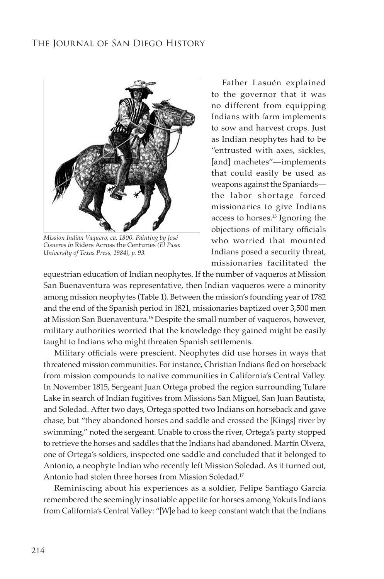

*Mission Indian Vaquero, ca. 1800. Painting by José Cisneros in* Riders Across the Centuries *(El Paso: University of Texas Press, 1984), p. 93.*

Father Lasuén explained to the governor that it was no different from equipping Indians with farm implements to sow and harvest crops. Just as Indian neophytes had to be "entrusted with axes, sickles, [and] machetes"—implements that could easily be used as weapons against the Spaniards the labor shortage forced missionaries to give Indians access to horses.15 Ignoring the objections of military officials who worried that mounted Indians posed a security threat, missionaries facilitated the

equestrian education of Indian neophytes. If the number of vaqueros at Mission San Buenaventura was representative, then Indian vaqueros were a minority among mission neophytes (Table 1). Between the mission's founding year of 1782 and the end of the Spanish period in 1821, missionaries baptized over 3,500 men at Mission San Buenaventura.16 Despite the small number of vaqueros, however, military authorities worried that the knowledge they gained might be easily taught to Indians who might threaten Spanish settlements.

Military officials were prescient. Neophytes did use horses in ways that threatened mission communities. For instance, Christian Indians fled on horseback from mission compounds to native communities in California's Central Valley. In November 1815, Sergeant Juan Ortega probed the region surrounding Tulare Lake in search of Indian fugitives from Missions San Miguel, San Juan Bautista, and Soledad. After two days, Ortega spotted two Indians on horseback and gave chase, but "they abandoned horses and saddle and crossed the [Kings] river by swimming," noted the sergeant. Unable to cross the river, Ortega's party stopped to retrieve the horses and saddles that the Indians had abandoned. Martín Olvera, one of Ortega's soldiers, inspected one saddle and concluded that it belonged to Antonio, a neophyte Indian who recently left Mission Soledad. As it turned out, Antonio had stolen three horses from Mission Soledad.17

Reminiscing about his experiences as a soldier, Felipe Santiago Garcia remembered the seemingly insatiable appetite for horses among Yokuts Indians from California's Central Valley: "[W]e had to keep constant watch that the Indians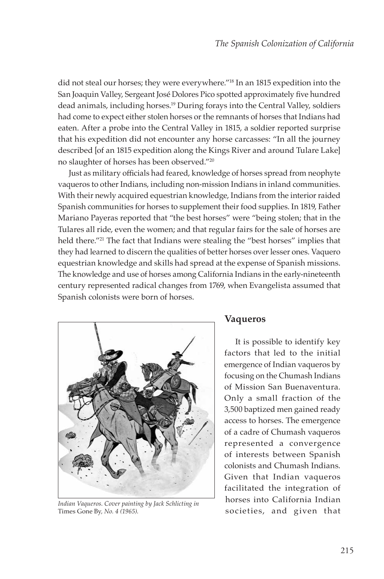did not steal our horses; they were everywhere."18 In an 1815 expedition into the San Joaquin Valley, Sergeant José Dolores Pico spotted approximately five hundred dead animals, including horses.19 During forays into the Central Valley, soldiers had come to expect either stolen horses or the remnants of horses that Indians had eaten. After a probe into the Central Valley in 1815, a soldier reported surprise that his expedition did not encounter any horse carcasses: "In all the journey described [of an 1815 expedition along the Kings River and around Tulare Lake] no slaughter of horses has been observed."<sup>20</sup>

Just as military officials had feared, knowledge of horses spread from neophyte vaqueros to other Indians, including non-mission Indians in inland communities. With their newly acquired equestrian knowledge, Indians from the interior raided Spanish communities for horses to supplement their food supplies. In 1819, Father Mariano Payeras reported that "the best horses" were "being stolen; that in the Tulares all ride, even the women; and that regular fairs for the sale of horses are held there."<sup>21</sup> The fact that Indians were stealing the "best horses" implies that they had learned to discern the qualities of better horses over lesser ones. Vaquero equestrian knowledge and skills had spread at the expense of Spanish missions. The knowledge and use of horses among California Indians in the early-nineteenth century represented radical changes from 1769, when Evangelista assumed that Spanish colonists were born of horses.



Indian *Vaqueros. Cover painting by Jack Schlicting in Indian Carriof Huttary Innes Gone By, No. 4 (1965). Societies, and given that* Times Gone By*, No. 4 (1965).*

#### **Vaqueros**

It is possible to identify key factors that led to the initial emergence of Indian vaqueros by focusing on the Chumash Indians of Mission San Buenaventura. Only a small fraction of the 3,500 baptized men gained ready access to horses. The emergence of a cadre of Chumash vaqueros represented a convergence of interests between Spanish colonists and Chumash Indians. Given that Indian vaqueros facilitated the integration of horses into California Indian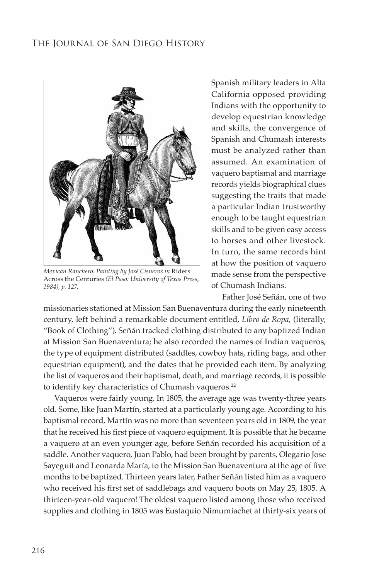

*Mexican Ranchero. Painting by José Cisneros in* Riders Across the Centuries *(El Paso: University of Texas Press, 1984), p. 127.*

Spanish military leaders in Alta California opposed providing Indians with the opportunity to develop equestrian knowledge and skills, the convergence of Spanish and Chumash interests must be analyzed rather than assumed. An examination of vaquero baptismal and marriage records yields biographical clues suggesting the traits that made a particular Indian trustworthy enough to be taught equestrian skills and to be given easy access to horses and other livestock. In turn, the same records hint at how the position of vaquero made sense from the perspective of Chumash Indians.

Father José Señán, one of two

missionaries stationed at Mission San Buenaventura during the early nineteenth century, left behind a remarkable document entitled, *Libro de Ropa*, (literally, "Book of Clothing"). Señán tracked clothing distributed to any baptized Indian at Mission San Buenaventura; he also recorded the names of Indian vaqueros, the type of equipment distributed (saddles, cowboy hats, riding bags, and other equestrian equipment), and the dates that he provided each item. By analyzing the list of vaqueros and their baptismal, death, and marriage records, it is possible to identify key characteristics of Chumash vaqueros.<sup>22</sup>

Vaqueros were fairly young. In 1805, the average age was twenty-three years old. Some, like Juan Martín, started at a particularly young age. According to his baptismal record, Martín was no more than seventeen years old in 1809, the year that he received his first piece of vaquero equipment. It is possible that he became a vaquero at an even younger age, before Señán recorded his acquisition of a saddle. Another vaquero, Juan Pablo, had been brought by parents, Olegario Jose Sayeguit and Leonarda María, to the Mission San Buenaventura at the age of five months to be baptized. Thirteen years later, Father Señán listed him as a vaquero who received his first set of saddlebags and vaquero boots on May 25, 1805. A thirteen-year-old vaquero! The oldest vaquero listed among those who received supplies and clothing in 1805 was Eustaquio Nimumiachet at thirty-six years of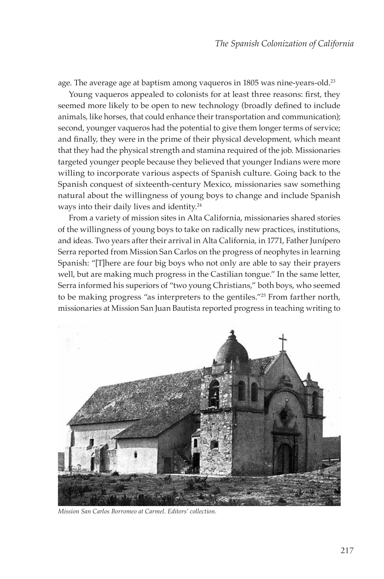age. The average age at baptism among vaqueros in 1805 was nine-years-old.<sup>23</sup>

Young vaqueros appealed to colonists for at least three reasons: first, they seemed more likely to be open to new technology (broadly defined to include animals, like horses, that could enhance their transportation and communication); second, younger vaqueros had the potential to give them longer terms of service; and finally, they were in the prime of their physical development, which meant that they had the physical strength and stamina required of the job. Missionaries targeted younger people because they believed that younger Indians were more willing to incorporate various aspects of Spanish culture. Going back to the Spanish conquest of sixteenth-century Mexico, missionaries saw something natural about the willingness of young boys to change and include Spanish ways into their daily lives and identity.<sup>24</sup>

From a variety of mission sites in Alta California, missionaries shared stories of the willingness of young boys to take on radically new practices, institutions, and ideas. Two years after their arrival in Alta California, in 1771, Father Junípero Serra reported from Mission San Carlos on the progress of neophytes in learning Spanish: "[T]here are four big boys who not only are able to say their prayers well, but are making much progress in the Castilian tongue." In the same letter, Serra informed his superiors of "two young Christians," both boys, who seemed to be making progress "as interpreters to the gentiles."25 From farther north, missionaries at Mission San Juan Bautista reported progress in teaching writing to



*Mission San Carlos Borromeo at Carmel. Editors' collection.*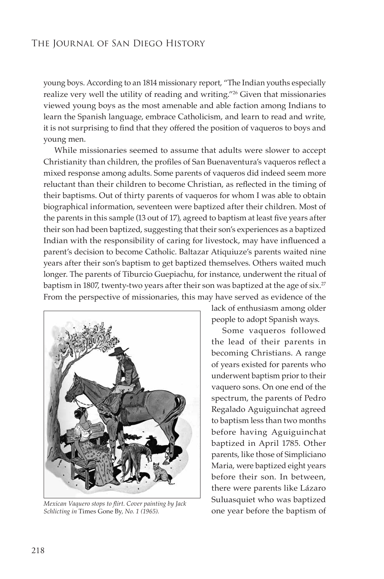young boys. According to an 1814 missionary report, "The Indian youths especially realize very well the utility of reading and writing."<sup>26</sup> Given that missionaries viewed young boys as the most amenable and able faction among Indians to learn the Spanish language, embrace Catholicism, and learn to read and write, it is not surprising to find that they offered the position of vaqueros to boys and young men.

While missionaries seemed to assume that adults were slower to accept Christianity than children, the profiles of San Buenaventura's vaqueros reflect a mixed response among adults. Some parents of vaqueros did indeed seem more reluctant than their children to become Christian, as reflected in the timing of their baptisms. Out of thirty parents of vaqueros for whom I was able to obtain biographical information, seventeen were baptized after their children. Most of the parents in this sample (13 out of 17), agreed to baptism at least five years after their son had been baptized, suggesting that their son's experiences as a baptized Indian with the responsibility of caring for livestock, may have influenced a parent's decision to become Catholic. Baltazar Atiquiuze's parents waited nine years after their son's baptism to get baptized themselves. Others waited much longer. The parents of Tiburcio Guepiachu, for instance, underwent the ritual of baptism in 1807, twenty-two years after their son was baptized at the age of six.<sup>27</sup> From the perspective of missionaries, this may have served as evidence of the



one year before the baptism of *Mexican Vaquero stops to flirt. Cover painting by Jack Schlicting in* Times Gone By*, No. 1 (1965).*

lack of enthusiasm among older people to adopt Spanish ways.

Some vaqueros followed the lead of their parents in becoming Christians. A range of years existed for parents who underwent baptism prior to their vaquero sons. On one end of the spectrum, the parents of Pedro Regalado Aguiguinchat agreed to baptism less than two months before having Aguiguinchat baptized in April 1785. Other parents, like those of Simpliciano Maria, were baptized eight years before their son. In between, there were parents like Lázaro Suluasquiet who was baptized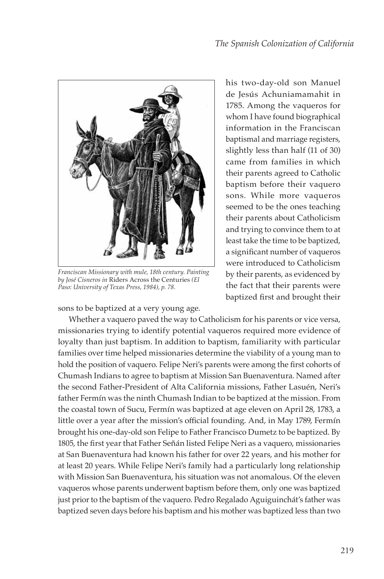

*Franciscan Missionary with mule, 18th century. Painting by José Cisneros in* Riders Across the Centuries *(El Paso: University of Texas Press, 1984), p. 78.*

sons to be baptized at a very young age.

his two-day-old son Manuel de Jesús Achuniamamahit in 1785. Among the vaqueros for whom I have found biographical information in the Franciscan baptismal and marriage registers, slightly less than half (11 of 30) came from families in which their parents agreed to Catholic baptism before their vaquero sons. While more vaqueros seemed to be the ones teaching their parents about Catholicism and trying to convince them to at least take the time to be baptized, a significant number of vaqueros were introduced to Catholicism by their parents, as evidenced by the fact that their parents were baptized first and brought their

Whether a vaquero paved the way to Catholicism for his parents or vice versa, missionaries trying to identify potential vaqueros required more evidence of loyalty than just baptism. In addition to baptism, familiarity with particular families over time helped missionaries determine the viability of a young man to hold the position of vaquero. Felipe Neri's parents were among the first cohorts of Chumash Indians to agree to baptism at Mission San Buenaventura. Named after the second Father-President of Alta California missions, Father Lasuén, Neri's father Fermín was the ninth Chumash Indian to be baptized at the mission. From the coastal town of Sucu, Fermín was baptized at age eleven on April 28, 1783, a little over a year after the mission's official founding. And, in May 1789, Fermín brought his one-day-old son Felipe to Father Francisco Dumetz to be baptized. By 1805, the first year that Father Señán listed Felipe Neri as a vaquero, missionaries at San Buenaventura had known his father for over 22 years, and his mother for at least 20 years. While Felipe Neri's family had a particularly long relationship with Mission San Buenaventura, his situation was not anomalous. Of the eleven vaqueros whose parents underwent baptism before them, only one was baptized just prior to the baptism of the vaquero. Pedro Regalado Aguiguinchát's father was baptized seven days before his baptism and his mother was baptized less than two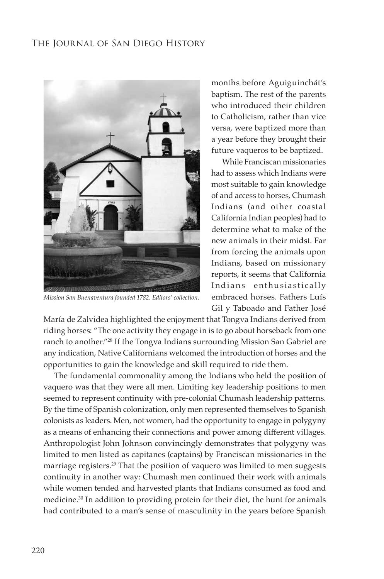

*Mission San Buenaventura founded 1782. Editors' collection.*

months before Aguiguinchát's baptism. The rest of the parents who introduced their children to Catholicism, rather than vice versa, were baptized more than a year before they brought their future vaqueros to be baptized.

While Franciscan missionaries had to assess which Indians were most suitable to gain knowledge of and access to horses, Chumash Indians (and other coastal California Indian peoples) had to determine what to make of the new animals in their midst. Far from forcing the animals upon Indians, based on missionary reports, it seems that California Indians enthusiastically embraced horses. Fathers Luís Gil y Taboado and Father José

María de Zalvidea highlighted the enjoyment that Tongva Indians derived from riding horses: "The one activity they engage in is to go about horseback from one ranch to another."28 If the Tongva Indians surrounding Mission San Gabriel are any indication, Native Californians welcomed the introduction of horses and the opportunities to gain the knowledge and skill required to ride them.

The fundamental commonality among the Indians who held the position of vaquero was that they were all men. Limiting key leadership positions to men seemed to represent continuity with pre-colonial Chumash leadership patterns. By the time of Spanish colonization, only men represented themselves to Spanish colonists as leaders. Men, not women, had the opportunity to engage in polygyny as a means of enhancing their connections and power among different villages. Anthropologist John Johnson convincingly demonstrates that polygyny was limited to men listed as capitanes (captains) by Franciscan missionaries in the marriage registers.<sup>29</sup> That the position of vaquero was limited to men suggests continuity in another way: Chumash men continued their work with animals while women tended and harvested plants that Indians consumed as food and medicine.<sup>30</sup> In addition to providing protein for their diet, the hunt for animals had contributed to a man's sense of masculinity in the years before Spanish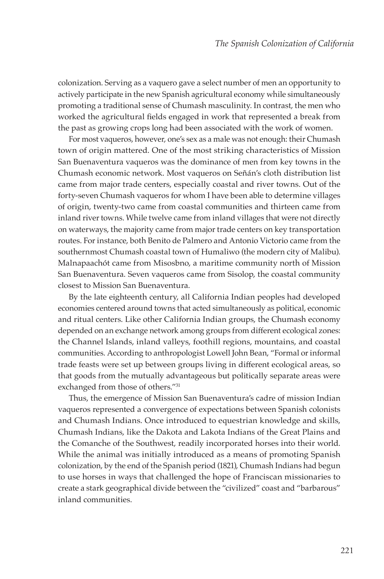colonization. Serving as a vaquero gave a select number of men an opportunity to actively participate in the new Spanish agricultural economy while simultaneously promoting a traditional sense of Chumash masculinity. In contrast, the men who worked the agricultural fields engaged in work that represented a break from the past as growing crops long had been associated with the work of women.

For most vaqueros, however, one's sex as a male was not enough: their Chumash town of origin mattered. One of the most striking characteristics of Mission San Buenaventura vaqueros was the dominance of men from key towns in the Chumash economic network. Most vaqueros on Señán's cloth distribution list came from major trade centers, especially coastal and river towns. Out of the forty-seven Chumash vaqueros for whom I have been able to determine villages of origin, twenty-two came from coastal communities and thirteen came from inland river towns. While twelve came from inland villages that were not directly on waterways, the majority came from major trade centers on key transportation routes. For instance, both Benito de Palmero and Antonio Victorio came from the southernmost Chumash coastal town of Humaliwo (the modern city of Malibu). Malnapaachót came from Misosbno, a maritime community north of Mission San Buenaventura. Seven vaqueros came from Sisolop, the coastal community closest to Mission San Buenaventura.

By the late eighteenth century, all California Indian peoples had developed economies centered around towns that acted simultaneously as political, economic and ritual centers. Like other California Indian groups, the Chumash economy depended on an exchange network among groups from different ecological zones: the Channel Islands, inland valleys, foothill regions, mountains, and coastal communities. According to anthropologist Lowell John Bean, "Formal or informal trade feasts were set up between groups living in different ecological areas, so that goods from the mutually advantageous but politically separate areas were exchanged from those of others."31

Thus, the emergence of Mission San Buenaventura's cadre of mission Indian vaqueros represented a convergence of expectations between Spanish colonists and Chumash Indians. Once introduced to equestrian knowledge and skills, Chumash Indians, like the Dakota and Lakota Indians of the Great Plains and the Comanche of the Southwest, readily incorporated horses into their world. While the animal was initially introduced as a means of promoting Spanish colonization, by the end of the Spanish period (1821), Chumash Indians had begun to use horses in ways that challenged the hope of Franciscan missionaries to create a stark geographical divide between the "civilized" coast and "barbarous" inland communities.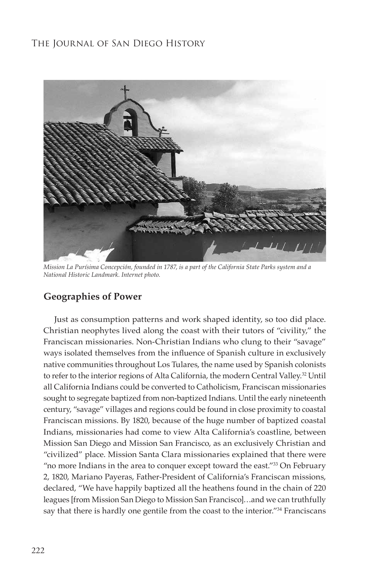

*Mission La Purísima Concepción, founded in 1787, is a part of the California State Parks system and a National Historic Landmark. Internet photo.*

# **Geographies of Power**

Just as consumption patterns and work shaped identity, so too did place. Christian neophytes lived along the coast with their tutors of "civility," the Franciscan missionaries. Non-Christian Indians who clung to their "savage" ways isolated themselves from the influence of Spanish culture in exclusively native communities throughout Los Tulares, the name used by Spanish colonists to refer to the interior regions of Alta California, the modern Central Valley.<sup>32</sup> Until all California Indians could be converted to Catholicism, Franciscan missionaries sought to segregate baptized from non-baptized Indians. Until the early nineteenth century, "savage" villages and regions could be found in close proximity to coastal Franciscan missions. By 1820, because of the huge number of baptized coastal Indians, missionaries had come to view Alta California's coastline, between Mission San Diego and Mission San Francisco, as an exclusively Christian and "civilized" place. Mission Santa Clara missionaries explained that there were "no more Indians in the area to conquer except toward the east."<sup>33</sup> On February 2, 1820, Mariano Payeras, Father-President of California's Franciscan missions, declared, "We have happily baptized all the heathens found in the chain of 220 leagues [from Mission San Diego to Mission San Francisco]…and we can truthfully say that there is hardly one gentile from the coast to the interior."<sup>34</sup> Franciscans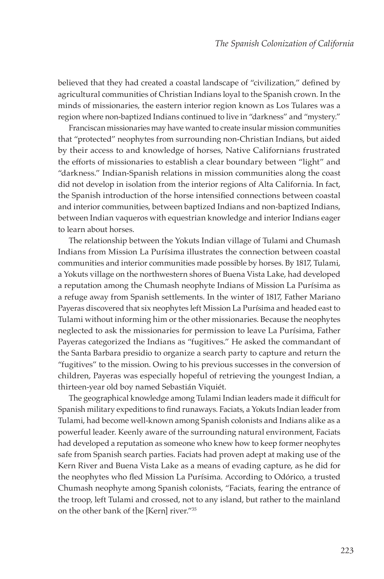believed that they had created a coastal landscape of "civilization," defined by agricultural communities of Christian Indians loyal to the Spanish crown. In the minds of missionaries, the eastern interior region known as Los Tulares was a region where non-baptized Indians continued to live in "darkness" and "mystery."

Franciscan missionaries may have wanted to create insular mission communities that "protected" neophytes from surrounding non-Christian Indians, but aided by their access to and knowledge of horses, Native Californians frustrated the efforts of missionaries to establish a clear boundary between "light" and "darkness." Indian-Spanish relations in mission communities along the coast did not develop in isolation from the interior regions of Alta California. In fact, the Spanish introduction of the horse intensified connections between coastal and interior communities, between baptized Indians and non-baptized Indians, between Indian vaqueros with equestrian knowledge and interior Indians eager to learn about horses.

The relationship between the Yokuts Indian village of Tulami and Chumash Indians from Mission La Purísima illustrates the connection between coastal communities and interior communities made possible by horses. By 1817, Tulami, a Yokuts village on the northwestern shores of Buena Vista Lake, had developed a reputation among the Chumash neophyte Indians of Mission La Purísima as a refuge away from Spanish settlements. In the winter of 1817, Father Mariano Payeras discovered that six neophytes left Mission La Purísima and headed east to Tulami without informing him or the other missionaries. Because the neophytes neglected to ask the missionaries for permission to leave La Purísima, Father Payeras categorized the Indians as "fugitives." He asked the commandant of the Santa Barbara presidio to organize a search party to capture and return the "fugitives" to the mission. Owing to his previous successes in the conversion of children, Payeras was especially hopeful of retrieving the youngest Indian, a thirteen-year old boy named Sebastián Viquiét.

The geographical knowledge among Tulami Indian leaders made it difficult for Spanish military expeditions to find runaways. Faciats, a Yokuts Indian leader from Tulami, had become well-known among Spanish colonists and Indians alike as a powerful leader. Keenly aware of the surrounding natural environment, Faciats had developed a reputation as someone who knew how to keep former neophytes safe from Spanish search parties. Faciats had proven adept at making use of the Kern River and Buena Vista Lake as a means of evading capture, as he did for the neophytes who fled Mission La Purísima. According to Odórico, a trusted Chumash neophyte among Spanish colonists, "Faciats, fearing the entrance of the troop, left Tulami and crossed, not to any island, but rather to the mainland on the other bank of the [Kern] river."35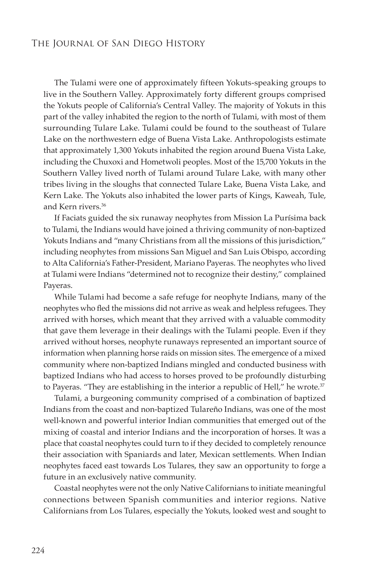The Tulami were one of approximately fifteen Yokuts-speaking groups to live in the Southern Valley. Approximately forty different groups comprised the Yokuts people of California's Central Valley. The majority of Yokuts in this part of the valley inhabited the region to the north of Tulami, with most of them surrounding Tulare Lake. Tulami could be found to the southeast of Tulare Lake on the northwestern edge of Buena Vista Lake. Anthropologists estimate that approximately 1,300 Yokuts inhabited the region around Buena Vista Lake, including the Chuxoxi and Hometwoli peoples. Most of the 15,700 Yokuts in the Southern Valley lived north of Tulami around Tulare Lake, with many other tribes living in the sloughs that connected Tulare Lake, Buena Vista Lake, and Kern Lake. The Yokuts also inhabited the lower parts of Kings, Kaweah, Tule, and Kern rivers.36

If Faciats guided the six runaway neophytes from Mission La Purísima back to Tulami, the Indians would have joined a thriving community of non-baptized Yokuts Indians and "many Christians from all the missions of this jurisdiction," including neophytes from missions San Miguel and San Luis Obispo, according to Alta California's Father-President, Mariano Payeras. The neophytes who lived at Tulami were Indians "determined not to recognize their destiny," complained Payeras.

While Tulami had become a safe refuge for neophyte Indians, many of the neophytes who fled the missions did not arrive as weak and helpless refugees. They arrived with horses, which meant that they arrived with a valuable commodity that gave them leverage in their dealings with the Tulami people. Even if they arrived without horses, neophyte runaways represented an important source of information when planning horse raids on mission sites. The emergence of a mixed community where non-baptized Indians mingled and conducted business with baptized Indians who had access to horses proved to be profoundly disturbing to Payeras. "They are establishing in the interior a republic of Hell," he wrote.<sup>37</sup>

Tulami, a burgeoning community comprised of a combination of baptized Indians from the coast and non-baptized Tulareño Indians, was one of the most well-known and powerful interior Indian communities that emerged out of the mixing of coastal and interior Indians and the incorporation of horses. It was a place that coastal neophytes could turn to if they decided to completely renounce their association with Spaniards and later, Mexican settlements. When Indian neophytes faced east towards Los Tulares, they saw an opportunity to forge a future in an exclusively native community.

Coastal neophytes were not the only Native Californians to initiate meaningful connections between Spanish communities and interior regions. Native Californians from Los Tulares, especially the Yokuts, looked west and sought to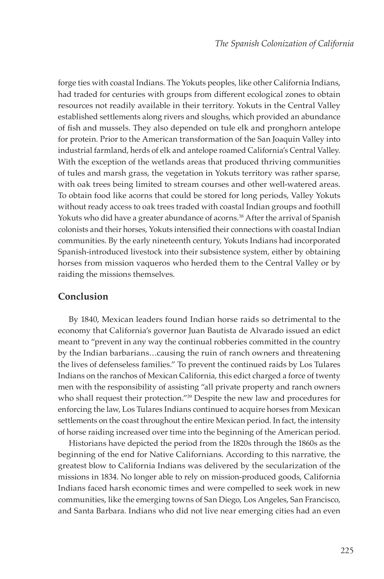forge ties with coastal Indians. The Yokuts peoples, like other California Indians, had traded for centuries with groups from different ecological zones to obtain resources not readily available in their territory. Yokuts in the Central Valley established settlements along rivers and sloughs, which provided an abundance of fish and mussels. They also depended on tule elk and pronghorn antelope for protein. Prior to the American transformation of the San Joaquin Valley into industrial farmland, herds of elk and antelope roamed California's Central Valley. With the exception of the wetlands areas that produced thriving communities of tules and marsh grass, the vegetation in Yokuts territory was rather sparse, with oak trees being limited to stream courses and other well-watered areas. To obtain food like acorns that could be stored for long periods, Valley Yokuts without ready access to oak trees traded with coastal Indian groups and foothill Yokuts who did have a greater abundance of acorns.<sup>38</sup> After the arrival of Spanish colonists and their horses, Yokuts intensified their connections with coastal Indian communities. By the early nineteenth century, Yokuts Indians had incorporated Spanish-introduced livestock into their subsistence system, either by obtaining horses from mission vaqueros who herded them to the Central Valley or by raiding the missions themselves.

# **Conclusion**

By 1840, Mexican leaders found Indian horse raids so detrimental to the economy that California's governor Juan Bautista de Alvarado issued an edict meant to "prevent in any way the continual robberies committed in the country by the Indian barbarians…causing the ruin of ranch owners and threatening the lives of defenseless families." To prevent the continued raids by Los Tulares Indians on the ranchos of Mexican California, this edict charged a force of twenty men with the responsibility of assisting "all private property and ranch owners who shall request their protection."<sup>39</sup> Despite the new law and procedures for enforcing the law, Los Tulares Indians continued to acquire horses from Mexican settlements on the coast throughout the entire Mexican period. In fact, the intensity of horse raiding increased over time into the beginning of the American period.

Historians have depicted the period from the 1820s through the 1860s as the beginning of the end for Native Californians. According to this narrative, the greatest blow to California Indians was delivered by the secularization of the missions in 1834. No longer able to rely on mission-produced goods, California Indians faced harsh economic times and were compelled to seek work in new communities, like the emerging towns of San Diego, Los Angeles, San Francisco, and Santa Barbara. Indians who did not live near emerging cities had an even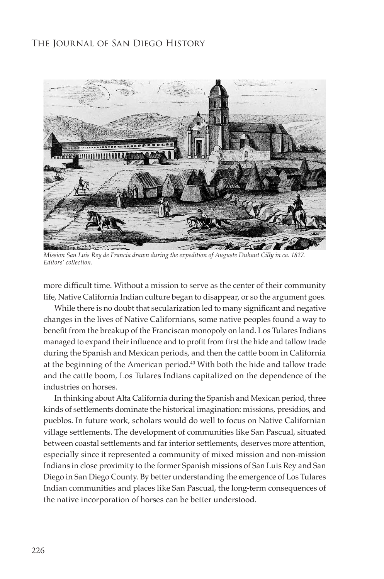

*Mission San Luis Rey de Francia drawn during the expedition of Auguste Duhaut Cilly in ca. 1827. Editors' collection.*

more difficult time. Without a mission to serve as the center of their community life, Native California Indian culture began to disappear, or so the argument goes.

While there is no doubt that secularization led to many significant and negative changes in the lives of Native Californians, some native peoples found a way to benefit from the breakup of the Franciscan monopoly on land. Los Tulares Indians managed to expand their influence and to profit from first the hide and tallow trade during the Spanish and Mexican periods, and then the cattle boom in California at the beginning of the American period.<sup>40</sup> With both the hide and tallow trade and the cattle boom, Los Tulares Indians capitalized on the dependence of the industries on horses.

In thinking about Alta California during the Spanish and Mexican period, three kinds of settlements dominate the historical imagination: missions, presidios, and pueblos. In future work, scholars would do well to focus on Native Californian village settlements. The development of communities like San Pascual, situated between coastal settlements and far interior settlements, deserves more attention, especially since it represented a community of mixed mission and non-mission Indians in close proximity to the former Spanish missions of San Luis Rey and San Diego in San Diego County. By better understanding the emergence of Los Tulares Indian communities and places like San Pascual, the long-term consequences of the native incorporation of horses can be better understood.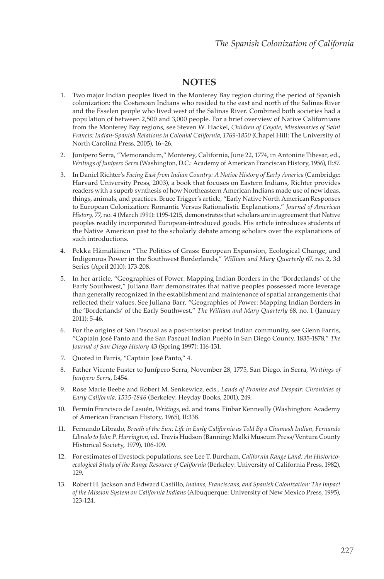# **NOTES**

- 1. Two major Indian peoples lived in the Monterey Bay region during the period of Spanish colonization: the Costanoan Indians who resided to the east and north of the Salinas River and the Esselen people who lived west of the Salinas River. Combined both societies had a population of between 2,500 and 3,000 people. For a brief overview of Native Californians from the Monterey Bay regions, see Steven W. Hackel, *Children of Coyote, Missionaries of Saint Francis: Indian-Spanish Relations in Colonial California, 1769-1850* (Chapel Hill: The University of North Carolina Press, 2005), 16–26.
- 2. Junípero Serra, "Memorandum," Monterey, California, June 22, 1774, in Antonine Tibesar, ed., *Writings of Junípero Serra* (Washington, D.C.: Academy of American Franciscan History, 1956), II:87.
- 3. In Daniel Richter's *Facing East from Indian Country: A Native History of Early America* (Cambridge: Harvard University Press, 2003), a book that focuses on Eastern Indians, Richter provides readers with a superb synthesis of how Northeastern American Indians made use of new ideas, things, animals, and practices. Bruce Trigger's article, "Early Native North American Responses to European Colonization: Romantic Versus Rationalistic Explanations," *Journal of American History,* 77, no. 4 (March 1991): 1195-1215, demonstrates that scholars are in agreement that Native peoples readily incorporated European-introduced goods. His article introduces students of the Native American past to the scholarly debate among scholars over the explanations of such introductions.
- 4. Pekka Hämäläinen "The Politics of Grass: European Expansion, Ecological Change, and Indigenous Power in the Southwest Borderlands," *William and Mary Quarterly* 67, no. 2, 3d Series (April 2010): 173-208.
- 5. In her article, "Geographies of Power: Mapping Indian Borders in the 'Borderlands' of the Early Southwest," Juliana Barr demonstrates that native peoples possessed more leverage than generally recognized in the establishment and maintenance of spatial arrangements that reflected their values. See Juliana Barr, "Geographies of Power: Mapping Indian Borders in the 'Borderlands' of the Early Southwest," *The William and Mary Quarterly* 68, no. 1 (January 2011): 5-46.
- 6. For the origins of San Pascual as a post-mission period Indian community, see Glenn Farris, "Captain José Panto and the San Pascual Indian Pueblo in San Diego County, 1835-1878," *The Journal of San Diego History* 43 (Spring 1997): 116-131.
- 7. Quoted in Farris, "Captain José Panto," 4.
- 8. Father Vicente Fuster to Junípero Serra, November 28, 1775, San Diego, in Serra, *Writings of Junípero Serra*, I:454.
- 9. Rose Marie Beebe and Robert M. Senkewicz, eds., *Lands of Promise and Despair: Chronicles of Early California, 1535-1846* (Berkeley: Heyday Books, 2001), 249.
- 10. Fermín Francisco de Lasuén, *Writings*, ed. and trans. Finbar Kenneally (Washington: Academy of American Francisan History, 1965), II:338.
- 11. Fernando Librado, *Breath of the Sun: Life in Early California as Told By a Chumash Indian, Fernando Librado to John P. Harrington*, ed. Travis Hudson (Banning: Malki Museum Press/Ventura County Historical Society, 1979), 106-109.
- 12. For estimates of livestock populations, see Lee T. Burcham, *California Range Land: An Historicoecological Study of the Range Resource of California* (Berkeley: University of California Press, 1982), 129.
- 13. Robert H. Jackson and Edward Castillo, *Indians, Franciscans, and Spanish Colonization: The Impact of the Mission System on California Indians* (Albuquerque: University of New Mexico Press, 1995), 123-124.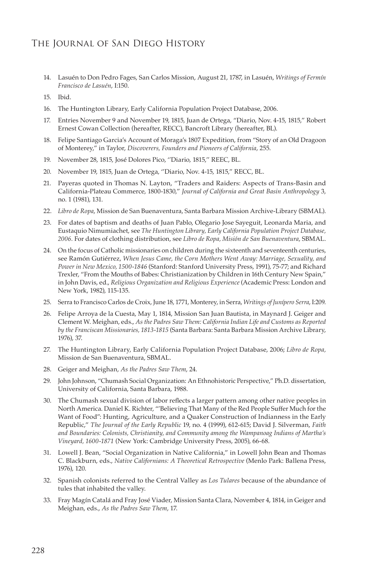- 14. Lasuén to Don Pedro Fages, San Carlos Mission, August 21, 1787, in Lasuén, *Writings of Fermín Francisco de Lasuén*, I:150.
- 15. Ibid.
- 16. The Huntington Library, Early California Population Project Database, 2006.
- 17. Entries November 9 and November 19, 1815, Juan de Ortega, "Diario, Nov. 4-15, 1815," Robert Ernest Cowan Collection (hereafter, RECC), Bancroft Library (hereafter, BL).
- 18. Felipe Santiago Garcia's Account of Moraga's 1807 Expedition, from "Story of an Old Dragoon of Monterey," in Taylor, *Discoverers, Founders and Pioneers of California*, 255.
- 19. November 28, 1815, José Dolores Pico, ''Diario, 1815,'' REEC, BL.
- 20. November 19, 1815, Juan de Ortega, ''Diario, Nov. 4-15, 1815," RECC, BL.
- 21. Payeras quoted in Thomas N. Layton, "Traders and Raiders: Aspects of Trans-Basin and California-Plateau Commerce, 1800-1830," *Journal of California and Great Basin Anthropology* 3, no. 1 (1981), 131.
- 22. *Libro de Ropa*, Mission de San Buenaventura, Santa Barbara Mission Archive-Library (SBMAL).
- 23. For dates of baptism and deaths of Juan Pablo, Olegario Jose Sayeguit, Leonarda Maria, and Eustaquio Nimumiachet, see *The Huntington Library, Early California Population Project Database, 2006.* For dates of clothing distribution, see *Libro de Ropa, Misión de San Buenaventura*, SBMAL.
- 24. On the focus of Catholic missionaries on children during the sixteenth and seventeenth centuries, see Ramón Gutiérrez, *When Jesus Came, the Corn Mothers Went Away: Marriage, Sexuality, and Power in New Mexico, 1500-1846* (Stanford: Stanford University Press, 1991), 75-77; and Richard Trexler, "From the Mouths of Babes: Christianization by Children in 16th Century New Spain," in John Davis, ed., *Religious Organization and Religious Experience* (Academic Press: London and New York, 1982), 115-135.
- 25. Serra to Francisco Carlos de Croix, June 18, 1771, Monterey, in Serra, *Writings of Junípero Serra*, I:209.
- 26. Felipe Arroya de la Cuesta, May 1, 1814, Mission San Juan Bautista, in Maynard J. Geiger and Clement W. Meighan, eds., *As the Padres Saw Them: California Indian Life and Customs as Reported by the Franciscan Missionaries, 1813-1815* (Santa Barbara: Santa Barbara Mission Archive Library, 1976), 37.
- 27. The Huntington Library, Early California Population Project Database, 2006; *Libro de Ropa,*  Mission de San Buenaventura, SBMAL.
- 28. Geiger and Meighan, *As the Padres Saw Them*, 24.
- 29. John Johnson, "Chumash Social Organization: An Ethnohistoric Perspective," Ph.D. dissertation, University of California, Santa Barbara, 1988.
- 30. The Chumash sexual division of labor reflects a larger pattern among other native peoples in North America. Daniel K. Richter, "'Believing That Many of the Red People Suffer Much for the Want of Food": Hunting, Agriculture, and a Quaker Construction of Indianness in the Early Republic," *The Journal of the Early Republic* 19, no. 4 (1999), 612-615; David J. Silverman, *Faith and Boundaries: Colonists, Christianity, and Community among the Wampanoag Indians of Martha's Vineyard, 1600-1871* (New York: Cambridge University Press, 2005), 66-68.
- 31. Lowell J. Bean, "Social Organization in Native California," in Lowell John Bean and Thomas C. Blackburn, eds., *Native Californians: A Theoretical Retrospective* (Menlo Park: Ballena Press, 1976), 120.
- 32. Spanish colonists referred to the Central Valley as *Los Tulares* because of the abundance of tules that inhabited the valley.
- 33. Fray Magín Catalá and Fray José Viader, Mission Santa Clara, November 4, 1814, in Geiger and Meighan, eds., *As the Padres Saw Them*, 17.